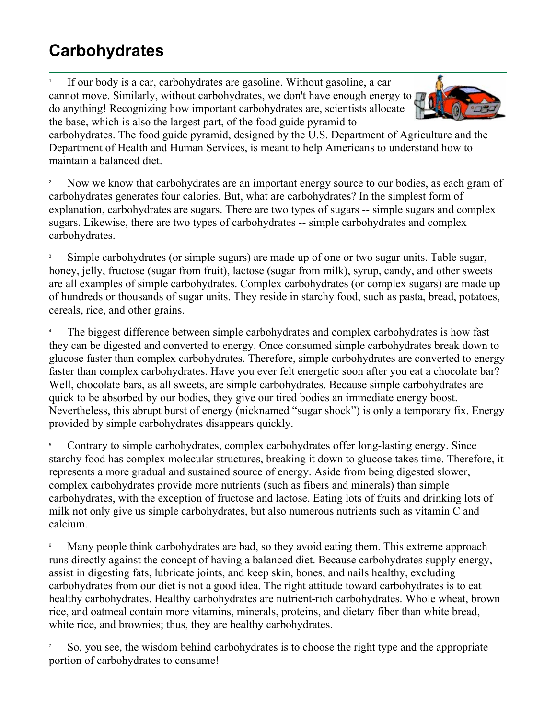## **Carbohydrates**

1 If our body is a car, carbohydrates are gasoline. Without gasoline, a car cannot move. Similarly, without carbohydrates, we don't have enough energy to do anything! Recognizing how important carbohydrates are, scientists allocate the base, which is also the largest part, of the food guide pyramid to



carbohydrates. The food guide pyramid, designed by the U.S. Department of Agriculture and the Department of Health and Human Services, is meant to help Americans to understand how to maintain a balanced diet.

2 Now we know that carbohydrates are an important energy source to our bodies, as each gram of carbohydrates generates four calories. But, what are carbohydrates? In the simplest form of explanation, carbohydrates are sugars. There are two types of sugars -- simple sugars and complex sugars. Likewise, there are two types of carbohydrates -- simple carbohydrates and complex carbohydrates.

3 Simple carbohydrates (or simple sugars) are made up of one or two sugar units. Table sugar, honey, jelly, fructose (sugar from fruit), lactose (sugar from milk), syrup, candy, and other sweets are all examples of simple carbohydrates. Complex carbohydrates (or complex sugars) are made up of hundreds or thousands of sugar units. They reside in starchy food, such as pasta, bread, potatoes, cereals, rice, and other grains.

4 The biggest difference between simple carbohydrates and complex carbohydrates is how fast they can be digested and converted to energy. Once consumed simple carbohydrates break down to glucose faster than complex carbohydrates. Therefore, simple carbohydrates are converted to energy faster than complex carbohydrates. Have you ever felt energetic soon after you eat a chocolate bar? Well, chocolate bars, as all sweets, are simple carbohydrates. Because simple carbohydrates are quick to be absorbed by our bodies, they give our tired bodies an immediate energy boost. Nevertheless, this abrupt burst of energy (nicknamed "sugar shock") is only a temporary fix. Energy provided by simple carbohydrates disappears quickly.

5 Contrary to simple carbohydrates, complex carbohydrates offer long-lasting energy. Since starchy food has complex molecular structures, breaking it down to glucose takes time. Therefore, it represents a more gradual and sustained source of energy. Aside from being digested slower, complex carbohydrates provide more nutrients (such as fibers and minerals) than simple carbohydrates, with the exception of fructose and lactose. Eating lots of fruits and drinking lots of milk not only give us simple carbohydrates, but also numerous nutrients such as vitamin C and calcium.

6 Many people think carbohydrates are bad, so they avoid eating them. This extreme approach runs directly against the concept of having a balanced diet. Because carbohydrates supply energy, assist in digesting fats, lubricate joints, and keep skin, bones, and nails healthy, excluding carbohydrates from our diet is not a good idea. The right attitude toward carbohydrates is to eat healthy carbohydrates. Healthy carbohydrates are nutrient-rich carbohydrates. Whole wheat, brown rice, and oatmeal contain more vitamins, minerals, proteins, and dietary fiber than white bread, white rice, and brownies; thus, they are healthy carbohydrates.

7 So, you see, the wisdom behind carbohydrates is to choose the right type and the appropriate portion of carbohydrates to consume!